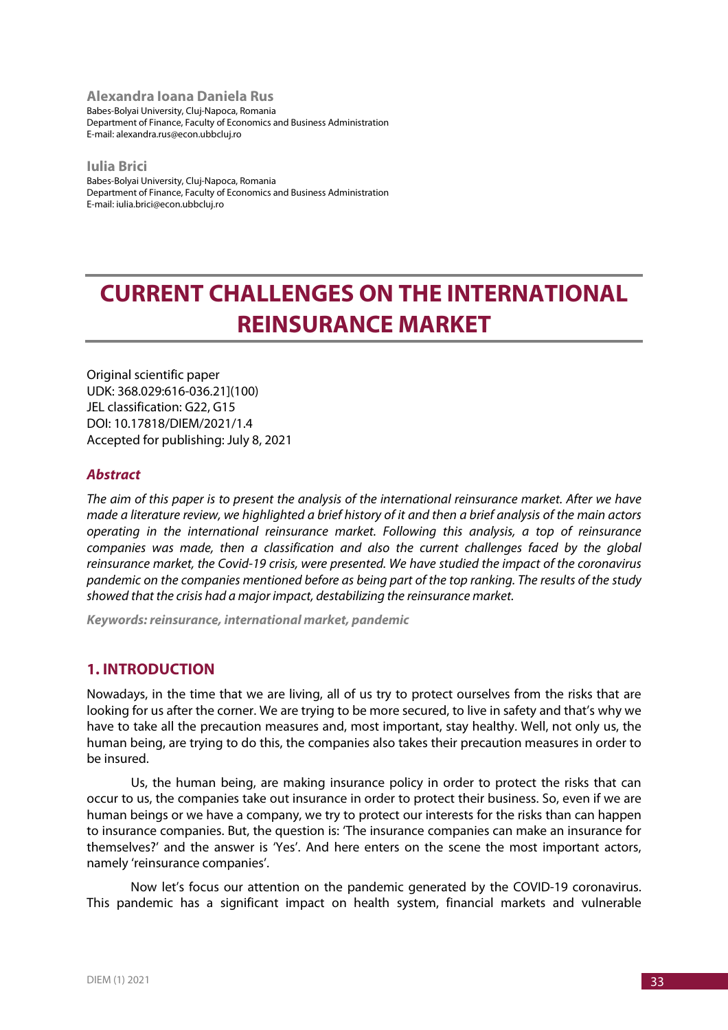**Alexandra Ioana Daniela Rus** Babes-Bolyai University, Cluj-Napoca, Romania Department of Finance, Faculty of Economics and Business Administration E-mail: alexandra.rus@econ.ubbcluj.ro

**Iulia Brici** Babes-Bolyai University, Cluj-Napoca, Romania Department of Finance, Faculty of Economics and Business Administration E-mail: iulia.brici@econ.ubbcluj.ro

# **CURRENT CHALLENGES ON THE INTERNATIONAL REINSURANCE MARKET**

Original scientific paper UDK: 368.029:616-036.21](100) JEL classification: G22, G15 DOI: 10.17818/DIEM/2021/1.4 Accepted for publishing: July 8, 2021

## *Abstract*

*The aim of this paper is to present the analysis of the international reinsurance market. After we have made a literature review, we highlighted a brief history of it and then a brief analysis of the main actors operating in the international reinsurance market. Following this analysis, a top of reinsurance companies was made, then a classification and also the current challenges faced by the global reinsurance market, the Covid-19 crisis, were presented. We have studied the impact of the coronavirus pandemic on the companies mentioned before as being part of the top ranking. The results of the study showed that the crisis had a major impact, destabilizing the reinsurance market.*

*Keywords: reinsurance, international market, pandemic*

# **1. INTRODUCTION**

Nowadays, in the time that we are living, all of us try to protect ourselves from the risks that are looking for us after the corner. We are trying to be more secured, to live in safety and that's why we have to take all the precaution measures and, most important, stay healthy. Well, not only us, the human being, are trying to do this, the companies also takes their precaution measures in order to be insured.

Us, the human being, are making insurance policy in order to protect the risks that can occur to us, the companies take out insurance in order to protect their business. So, even if we are human beings or we have a company, we try to protect our interests for the risks than can happen to insurance companies. But, the question is: 'The insurance companies can make an insurance for themselves?' and the answer is 'Yes'. And here enters on the scene the most important actors, namely 'reinsurance companies'.

Now let's focus our attention on the pandemic generated by the COVID-19 coronavirus. This pandemic has a significant impact on health system, financial markets and vulnerable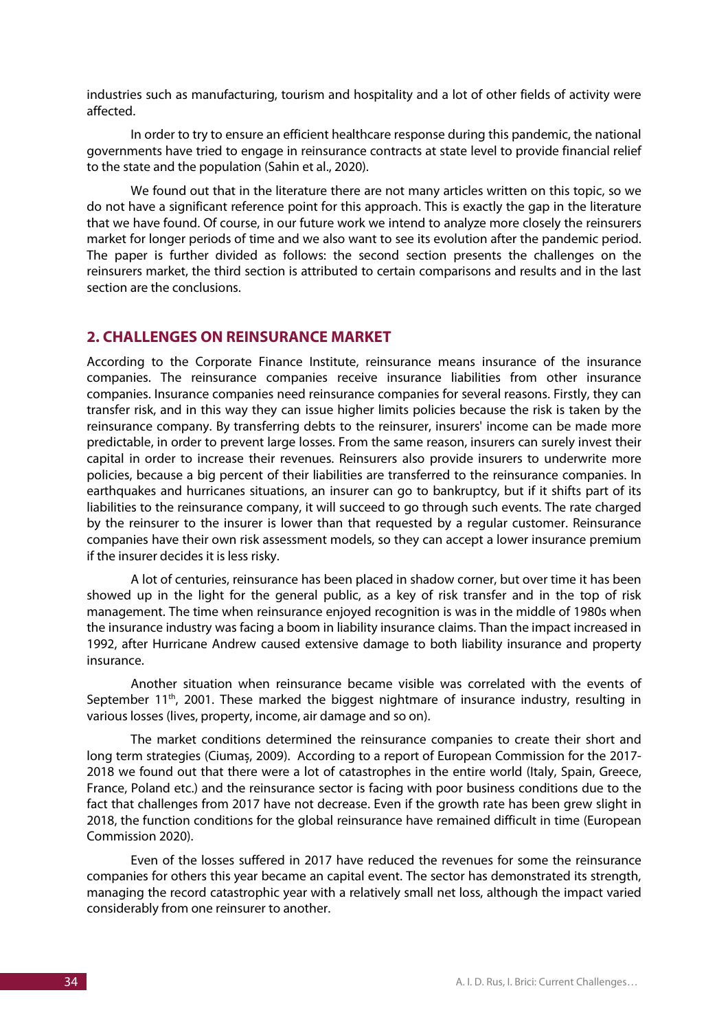industries such as manufacturing, tourism and hospitality and a lot of other fields of activity were affected.

In order to try to ensure an efficient healthcare response during this pandemic, the national governments have tried to engage in reinsurance contracts at state level to provide financial relief to the state and the population (Sahin et al., 2020).

We found out that in the literature there are not many articles written on this topic, so we do not have a significant reference point for this approach. This is exactly the gap in the literature that we have found. Of course, in our future work we intend to analyze more closely the reinsurers market for longer periods of time and we also want to see its evolution after the pandemic period. The paper is further divided as follows: the second section presents the challenges on the reinsurers market, the third section is attributed to certain comparisons and results and in the last section are the conclusions.

### **2. CHALLENGES ON REINSURANCE MARKET**

According to the Corporate Finance Institute, reinsurance means insurance of the insurance companies. The reinsurance companies receive insurance liabilities from other insurance companies. Insurance companies need reinsurance companies for several reasons. Firstly, they can transfer risk, and in this way they can issue higher limits policies because the risk is taken by the reinsurance company. By transferring debts to the reinsurer, insurers' income can be made more predictable, in order to prevent large losses. From the same reason, insurers can surely invest their capital in order to increase their revenues. Reinsurers also provide insurers to underwrite more policies, because a big percent of their liabilities are transferred to the reinsurance companies. In earthquakes and hurricanes situations, an insurer can go to bankruptcy, but if it shifts part of its liabilities to the reinsurance company, it will succeed to go through such events. The rate charged by the reinsurer to the insurer is lower than that requested by a regular customer. Reinsurance companies have their own risk assessment models, so they can accept a lower insurance premium if the insurer decides it is less risky.

A lot of centuries, reinsurance has been placed in shadow corner, but over time it has been showed up in the light for the general public, as a key of risk transfer and in the top of risk management. The time when reinsurance enjoyed recognition is was in the middle of 1980s when the insurance industry was facing a boom in liability insurance claims. Than the impact increased in 1992, after Hurricane Andrew caused extensive damage to both liability insurance and property insurance.

Another situation when reinsurance became visible was correlated with the events of September 11<sup>th</sup>, 2001. These marked the biggest nightmare of insurance industry, resulting in various losses (lives, property, income, air damage and so on).

The market conditions determined the reinsurance companies to create their short and long term strategies (Ciumaș, 2009). According to a report of European Commission for the 2017- 2018 we found out that there were a lot of catastrophes in the entire world (Italy, Spain, Greece, France, Poland etc.) and the reinsurance sector is facing with poor business conditions due to the fact that challenges from 2017 have not decrease. Even if the growth rate has been grew slight in 2018, the function conditions for the global reinsurance have remained difficult in time (European Commission 2020).

Even of the losses suffered in 2017 have reduced the revenues for some the reinsurance companies for others this year became an capital event. The sector has demonstrated its strength, managing the record catastrophic year with a relatively small net loss, although the impact varied considerably from one reinsurer to another.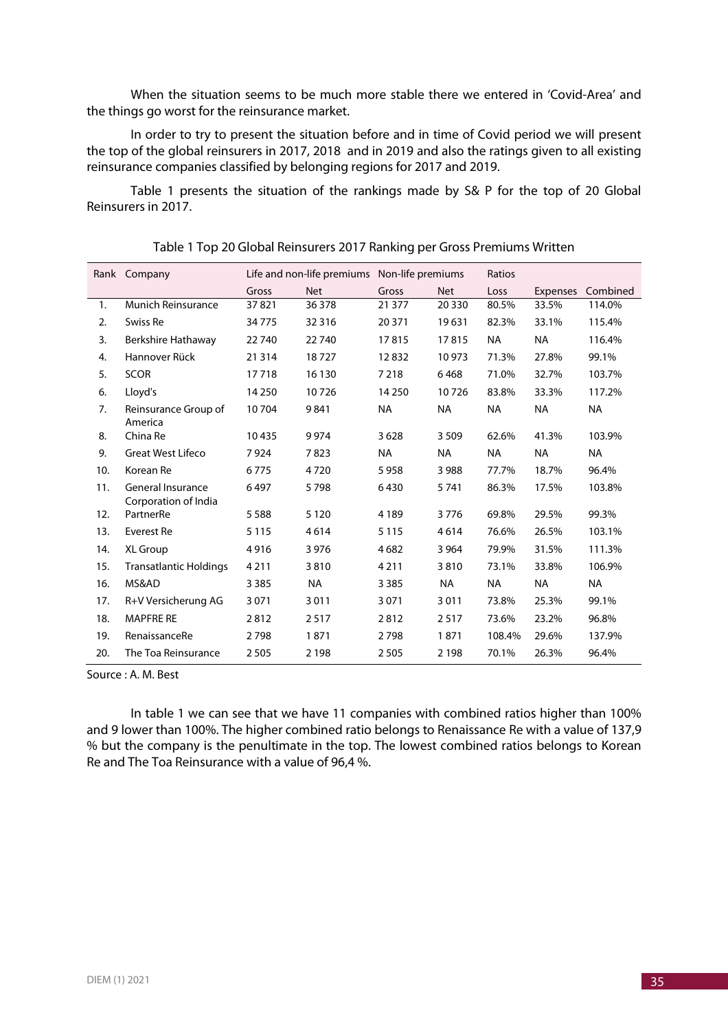When the situation seems to be much more stable there we entered in 'Covid-Area' and the things go worst for the reinsurance market.

In order to try to present the situation before and in time of Covid period we will present the top of the global reinsurers in 2017, 2018 and in 2019 and also the ratings given to all existing reinsurance companies classified by belonging regions for 2017 and 2019.

Table 1 presents the situation of the rankings made by S& P for the top of 20 Global Reinsurers in 2017.

| Rank | Company                                          | Life and non-life premiums Non-life premiums |            |           |            | Ratios    |                 |           |
|------|--------------------------------------------------|----------------------------------------------|------------|-----------|------------|-----------|-----------------|-----------|
|      |                                                  | Gross                                        | <b>Net</b> | Gross     | <b>Net</b> | Loss      | <b>Expenses</b> | Combined  |
| 1.   | <b>Munich Reinsurance</b>                        | 37821                                        | 36 378     | 21 377    | 20 3 30    | 80.5%     | 33.5%           | 114.0%    |
| 2.   | Swiss Re                                         | 34775                                        | 32 3 16    | 20 371    | 19631      | 82.3%     | 33.1%           | 115.4%    |
| 3.   | Berkshire Hathaway                               | 22740                                        | 22740      | 17815     | 17815      | <b>NA</b> | <b>NA</b>       | 116.4%    |
| 4.   | Hannover Rück                                    | 21 3 14                                      | 18727      | 12832     | 10973      | 71.3%     | 27.8%           | 99.1%     |
| 5.   | <b>SCOR</b>                                      | 17718                                        | 16 130     | 7 2 1 8   | 6468       | 71.0%     | 32.7%           | 103.7%    |
| 6.   | Lloyd's                                          | 14 2 50                                      | 10726      | 14 2 50   | 10726      | 83.8%     | 33.3%           | 117.2%    |
| 7.   | Reinsurance Group of<br>America                  | 10704                                        | 9841       | <b>NA</b> | <b>NA</b>  | <b>NA</b> | <b>NA</b>       | <b>NA</b> |
| 8.   | China Re                                         | 10435                                        | 9974       | 3628      | 3509       | 62.6%     | 41.3%           | 103.9%    |
| 9.   | <b>Great West Lifeco</b>                         | 7924                                         | 7823       | <b>NA</b> | <b>NA</b>  | <b>NA</b> | <b>NA</b>       | <b>NA</b> |
| 10.  | Korean Re                                        | 6775                                         | 4720       | 5958      | 3 9 8 8    | 77.7%     | 18.7%           | 96.4%     |
| 11.  | <b>General Insurance</b><br>Corporation of India | 6497                                         | 5798       | 6430      | 5741       | 86.3%     | 17.5%           | 103.8%    |
| 12.  | PartnerRe                                        | 5 5 8 8                                      | 5 1 2 0    | 4 1 8 9   | 3776       | 69.8%     | 29.5%           | 99.3%     |
| 13.  | Everest Re                                       | 5 1 1 5                                      | 4614       | 5 1 1 5   | 4614       | 76.6%     | 26.5%           | 103.1%    |
| 14.  | XL Group                                         | 4916                                         | 3976       | 4682      | 3 9 6 4    | 79.9%     | 31.5%           | 111.3%    |
| 15.  | <b>Transatlantic Holdings</b>                    | 4 2 1 1                                      | 3810       | 4211      | 3810       | 73.1%     | 33.8%           | 106.9%    |
| 16.  | MS&AD                                            | 3 3 8 5                                      | <b>NA</b>  | 3 3 8 5   | <b>NA</b>  | <b>NA</b> | <b>NA</b>       | <b>NA</b> |
| 17.  | R+V Versicherung AG                              | 3 0 7 1                                      | 3011       | 3 0 7 1   | 3011       | 73.8%     | 25.3%           | 99.1%     |
| 18.  | <b>MAPFRE RE</b>                                 | 2812                                         | 2517       | 2812      | 2517       | 73.6%     | 23.2%           | 96.8%     |
| 19.  | RenaissanceRe                                    | 2798                                         | 1871       | 2798      | 1871       | 108.4%    | 29.6%           | 137.9%    |
| 20.  | The Toa Reinsurance                              | 2 5 0 5                                      | 2 1 9 8    | 2505      | 2 1 9 8    | 70.1%     | 26.3%           | 96.4%     |

Table 1 Top 20 Global Reinsurers 2017 Ranking per Gross Premiums Written

Source : A. M. Best

In table 1 we can see that we have 11 companies with combined ratios higher than 100% and 9 lower than 100%. The higher combined ratio belongs to Renaissance Re with a value of 137,9 % but the company is the penultimate in the top. The lowest combined ratios belongs to Korean Re and The Toa Reinsurance with a value of 96,4 %.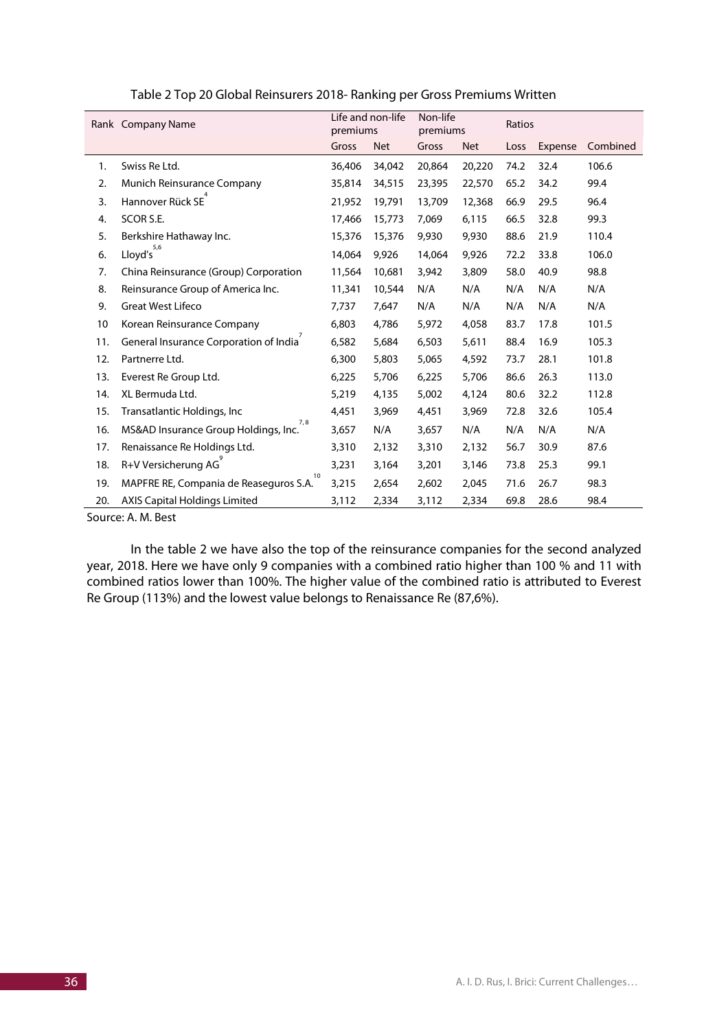|     | Rank Company Name                            | Life and non-life<br>premiums |            | Non-life<br>premiums |            | Ratios |         |          |
|-----|----------------------------------------------|-------------------------------|------------|----------------------|------------|--------|---------|----------|
|     |                                              | Gross                         | <b>Net</b> | Gross                | <b>Net</b> | Loss   | Expense | Combined |
| 1.  | Swiss Re Ltd.                                | 36,406                        | 34,042     | 20,864               | 20,220     | 74.2   | 32.4    | 106.6    |
| 2.  | Munich Reinsurance Company                   | 35,814                        | 34,515     | 23,395               | 22,570     | 65.2   | 34.2    | 99.4     |
| 3.  | Hannover Rück SE                             | 21,952                        | 19,791     | 13,709               | 12,368     | 66.9   | 29.5    | 96.4     |
| 4.  | SCOR S.E.                                    | 17,466                        | 15,773     | 7,069                | 6,115      | 66.5   | 32.8    | 99.3     |
| 5.  | Berkshire Hathaway Inc.                      | 15,376                        | 15,376     | 9,930                | 9,930      | 88.6   | 21.9    | 110.4    |
| 6.  | $Lloyd's$ <sup>5,6</sup>                     | 14,064                        | 9,926      | 14,064               | 9,926      | 72.2   | 33.8    | 106.0    |
| 7.  | China Reinsurance (Group) Corporation        | 11,564                        | 10,681     | 3,942                | 3,809      | 58.0   | 40.9    | 98.8     |
| 8.  | Reinsurance Group of America Inc.            | 11,341                        | 10,544     | N/A                  | N/A        | N/A    | N/A     | N/A      |
| 9.  | <b>Great West Lifeco</b>                     | 7,737                         | 7,647      | N/A                  | N/A        | N/A    | N/A     | N/A      |
| 10  | Korean Reinsurance Company                   | 6,803                         | 4,786      | 5,972                | 4,058      | 83.7   | 17.8    | 101.5    |
| 11. | General Insurance Corporation of India       | 6,582                         | 5,684      | 6,503                | 5,611      | 88.4   | 16.9    | 105.3    |
| 12. | Partnerre Ltd.                               | 6,300                         | 5,803      | 5,065                | 4,592      | 73.7   | 28.1    | 101.8    |
| 13. | Everest Re Group Ltd.                        | 6,225                         | 5,706      | 6,225                | 5,706      | 86.6   | 26.3    | 113.0    |
| 14. | XL Bermuda Ltd.                              | 5,219                         | 4,135      | 5,002                | 4,124      | 80.6   | 32.2    | 112.8    |
| 15. | Transatlantic Holdings, Inc                  | 4,451                         | 3,969      | 4,451                | 3,969      | 72.8   | 32.6    | 105.4    |
| 16. | 7,8<br>MS&AD Insurance Group Holdings, Inc.  | 3,657                         | N/A        | 3,657                | N/A        | N/A    | N/A     | N/A      |
| 17. | Renaissance Re Holdings Ltd.                 | 3,310                         | 2,132      | 3,310                | 2,132      | 56.7   | 30.9    | 87.6     |
| 18. | R+V Versicherung AG                          | 3,231                         | 3,164      | 3,201                | 3,146      | 73.8   | 25.3    | 99.1     |
| 19. | 10<br>MAPFRE RE, Compania de Reaseguros S.A. | 3,215                         | 2,654      | 2,602                | 2,045      | 71.6   | 26.7    | 98.3     |
| 20. | <b>AXIS Capital Holdings Limited</b>         | 3,112                         | 2,334      | 3,112                | 2,334      | 69.8   | 28.6    | 98.4     |

| Table 2 Top 20 Global Reinsurers 2018- Ranking per Gross Premiums Written |  |  |
|---------------------------------------------------------------------------|--|--|
|---------------------------------------------------------------------------|--|--|

Source: A. M. Best

In the table 2 we have also the top of the reinsurance companies for the second analyzed year, 2018. Here we have only 9 companies with a combined ratio higher than 100 % and 11 with combined ratios lower than 100%. The higher value of the combined ratio is attributed to Everest Re Group (113%) and the lowest value belongs to Renaissance Re (87,6%).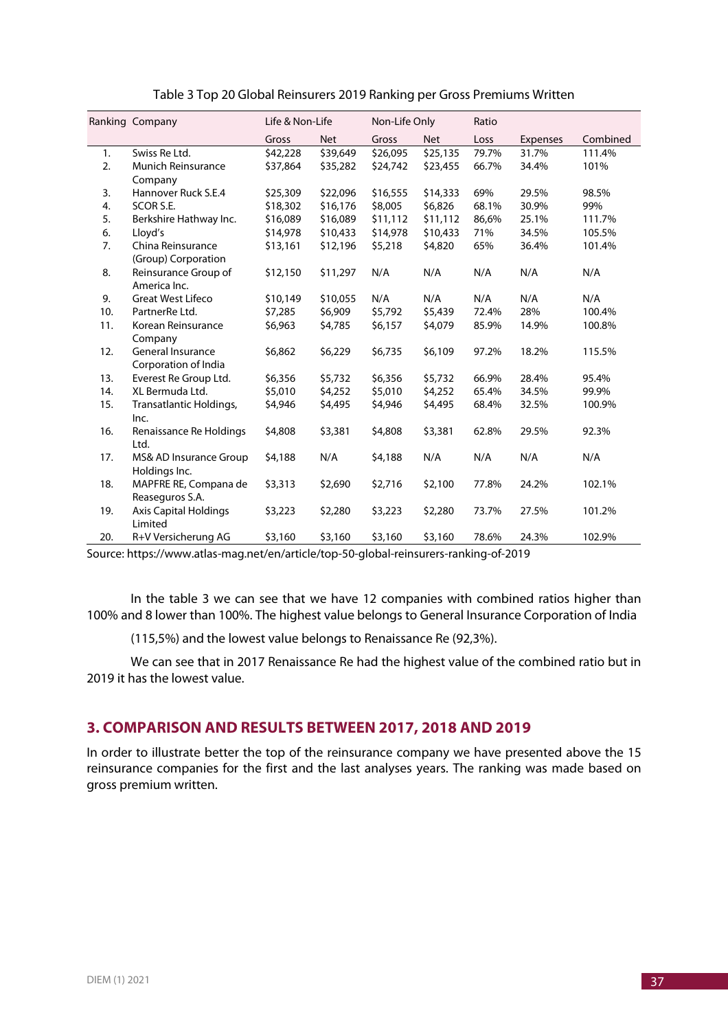|     | Ranking Company                      | Life & Non-Life |            | Non-Life Only |            | Ratio |                 |          |
|-----|--------------------------------------|-----------------|------------|---------------|------------|-------|-----------------|----------|
|     |                                      | Gross           | <b>Net</b> | Gross         | <b>Net</b> | Loss  | <b>Expenses</b> | Combined |
| 1.  | Swiss Re Ltd.                        | \$42,228        | \$39,649   | \$26,095      | \$25,135   | 79.7% | 31.7%           | 111.4%   |
| 2.  | <b>Munich Reinsurance</b>            | \$37,864        | \$35,282   | \$24,742      | \$23,455   | 66.7% | 34.4%           | 101%     |
|     | Company                              |                 |            |               |            |       |                 |          |
| 3.  | Hannover Ruck S.E.4                  | \$25,309        | \$22,096   | \$16,555      | \$14,333   | 69%   | 29.5%           | 98.5%    |
| 4.  | SCOR S.E.                            | \$18,302        | \$16,176   | \$8,005       | \$6,826    | 68.1% | 30.9%           | 99%      |
| 5.  | Berkshire Hathway Inc.               | \$16,089        | \$16,089   | \$11,112      | \$11,112   | 86,6% | 25.1%           | 111.7%   |
| 6.  | Lloyd's                              | \$14,978        | \$10,433   | \$14,978      | \$10,433   | 71%   | 34.5%           | 105.5%   |
| 7.  | China Reinsurance                    | \$13,161        | \$12,196   | \$5,218       | \$4,820    | 65%   | 36.4%           | 101.4%   |
|     | (Group) Corporation                  |                 |            |               |            |       |                 |          |
| 8.  | Reinsurance Group of<br>America Inc. | \$12,150        | \$11,297   | N/A           | N/A        | N/A   | N/A             | N/A      |
| 9.  | <b>Great West Lifeco</b>             | \$10,149        | \$10,055   | N/A           | N/A        | N/A   | N/A             | N/A      |
| 10. | PartnerRe Ltd.                       | \$7,285         | \$6,909    | \$5,792       | \$5,439    | 72.4% | 28%             | 100.4%   |
| 11. | Korean Reinsurance                   | \$6,963         | \$4,785    | \$6,157       | \$4,079    | 85.9% | 14.9%           | 100.8%   |
|     | Company                              |                 |            |               |            |       |                 |          |
| 12. | <b>General Insurance</b>             | \$6,862         | \$6,229    | \$6,735       | \$6,109    | 97.2% | 18.2%           | 115.5%   |
|     | Corporation of India                 |                 |            |               |            |       |                 |          |
| 13. | Everest Re Group Ltd.                | \$6,356         | \$5,732    | \$6,356       | \$5,732    | 66.9% | 28.4%           | 95.4%    |
| 14. | XL Bermuda Ltd.                      | \$5,010         | \$4,252    | \$5,010       | \$4,252    | 65.4% | 34.5%           | 99.9%    |
| 15. | Transatlantic Holdings,              | \$4,946         | \$4,495    | \$4,946       | \$4,495    | 68.4% | 32.5%           | 100.9%   |
|     | Inc.                                 |                 |            |               |            |       |                 |          |
| 16. | Renaissance Re Holdings<br>Ltd.      | \$4,808         | \$3,381    | \$4,808       | \$3,381    | 62.8% | 29.5%           | 92.3%    |
| 17. | MS& AD Insurance Group               | \$4,188         | N/A        | \$4,188       | N/A        | N/A   | N/A             | N/A      |
|     | Holdings Inc.                        |                 |            |               |            |       |                 |          |
| 18. | MAPFRE RE, Compana de                | \$3,313         | \$2,690    | \$2,716       | \$2,100    | 77.8% | 24.2%           | 102.1%   |
|     | Reaseguros S.A.                      |                 |            |               |            |       |                 |          |
| 19. | <b>Axis Capital Holdings</b>         | \$3,223         | \$2,280    | \$3,223       | \$2,280    | 73.7% | 27.5%           | 101.2%   |
|     | Limited                              |                 |            |               |            |       |                 |          |
| 20. | R+V Versicherung AG                  | \$3,160         | \$3,160    | \$3,160       | \$3,160    | 78.6% | 24.3%           | 102.9%   |

Table 3 Top 20 Global Reinsurers 2019 Ranking per Gross Premiums Written

Source: https://www.atlas-mag.net/en/article/top-50-global-reinsurers-ranking-of-2019

In the table 3 we can see that we have 12 companies with combined ratios higher than 100% and 8 lower than 100%. The highest value belongs to General Insurance Corporation of India

(115,5%) and the lowest value belongs to Renaissance Re (92,3%).

We can see that in 2017 Renaissance Re had the highest value of the combined ratio but in 2019 it has the lowest value.

### **3. COMPARISON AND RESULTS BETWEEN 2017, 2018 AND 2019**

In order to illustrate better the top of the reinsurance company we have presented above the 15 reinsurance companies for the first and the last analyses years. The ranking was made based on gross premium written.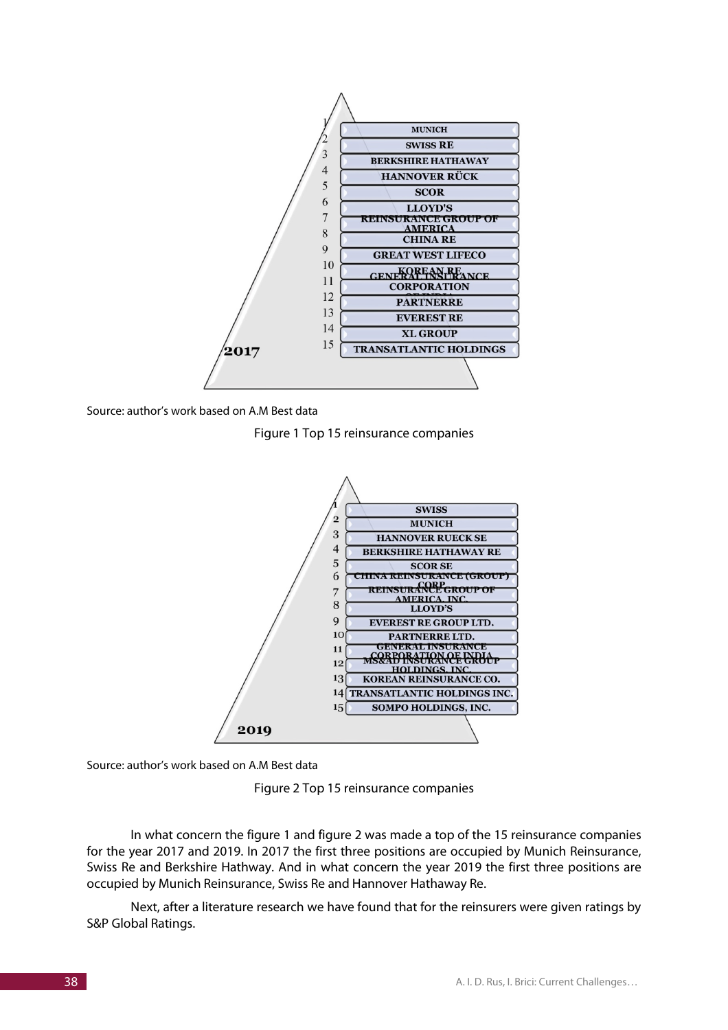



Figure 1 Top 15 reinsurance companies



Source: author's work based on A.M Best data

Figure 2 Top 15 reinsurance companies

In what concern the figure 1 and figure 2 was made a top of the 15 reinsurance companies for the year 2017 and 2019. In 2017 the first three positions are occupied by Munich Reinsurance, Swiss Re and Berkshire Hathway. And in what concern the year 2019 the first three positions are occupied by Munich Reinsurance, Swiss Re and Hannover Hathaway Re.

Next, after a literature research we have found that for the reinsurers were given ratings by S&P Global Ratings.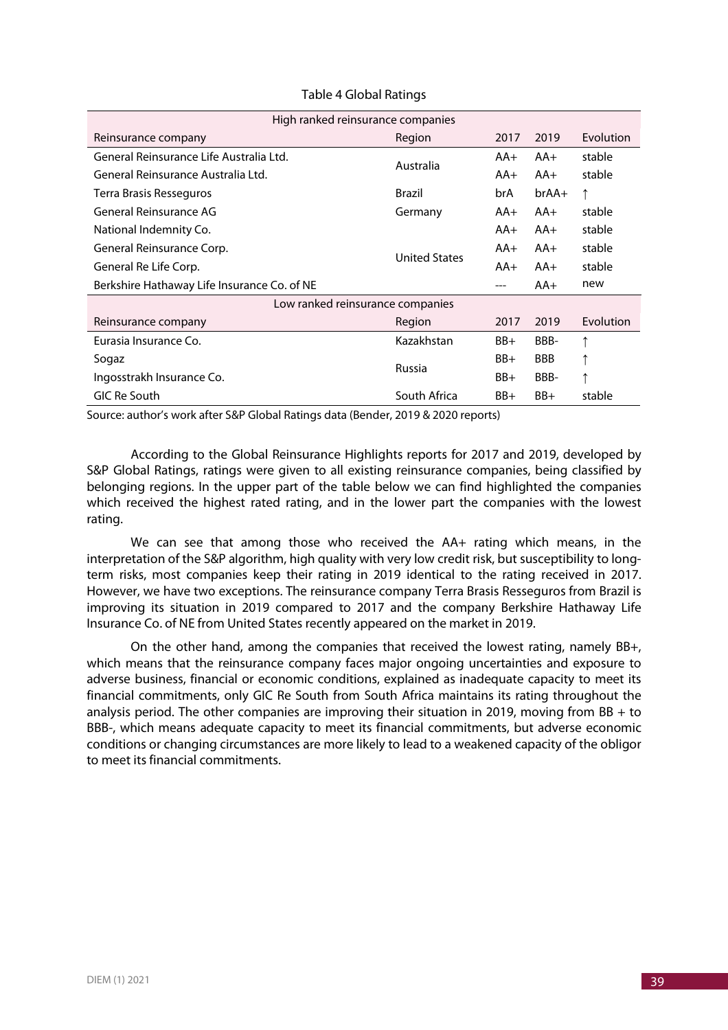| High ranked reinsurance companies           |                      |       |            |           |  |  |  |
|---------------------------------------------|----------------------|-------|------------|-----------|--|--|--|
| Reinsurance company                         | Region               | 2017  | 2019       | Evolution |  |  |  |
| General Reinsurance Life Australia Ltd.     | Australia            | $AA+$ | $AA+$      | stable    |  |  |  |
| General Reinsurance Australia Ltd.          |                      | $AA+$ | $AA+$      | stable    |  |  |  |
| Terra Brasis Resseguros                     | Brazil               | brA   | $brAA+$    | ↑         |  |  |  |
| General Reinsurance AG                      | Germany              | $AA+$ | $AA+$      | stable    |  |  |  |
| National Indemnity Co.                      |                      | $AA+$ | $AA+$      | stable    |  |  |  |
| General Reinsurance Corp.                   | <b>United States</b> | AA+   | $AA+$      | stable    |  |  |  |
| General Re Life Corp.                       |                      | $AA+$ | $AA+$      | stable    |  |  |  |
| Berkshire Hathaway Life Insurance Co. of NE |                      | ---   | $AA+$      | new       |  |  |  |
| Low ranked reinsurance companies            |                      |       |            |           |  |  |  |
| Reinsurance company                         | Region               | 2017  | 2019       | Evolution |  |  |  |
| Eurasia Insurance Co.                       | Kazakhstan           | $BB+$ | BBB-       | ↑         |  |  |  |
| Sogaz                                       | Russia               | BB+   | <b>BBB</b> | ↑         |  |  |  |
| Ingosstrakh Insurance Co.                   |                      | BB+   | BBB-       | ↑         |  |  |  |
| GIC Re South                                | South Africa         | $BB+$ | BB+        | stable    |  |  |  |

#### Table 4 Global Ratings

Source: author's work after S&P Global Ratings data (Bender, 2019 & 2020 reports)

According to the Global Reinsurance Highlights reports for 2017 and 2019, developed by S&P Global Ratings, ratings were given to all existing reinsurance companies, being classified by belonging regions. In the upper part of the table below we can find highlighted the companies which received the highest rated rating, and in the lower part the companies with the lowest rating.

We can see that among those who received the AA+ rating which means, in the interpretation of the S&P algorithm, high quality with very low credit risk, but susceptibility to longterm risks, most companies keep their rating in 2019 identical to the rating received in 2017. However, we have two exceptions. The reinsurance company Terra Brasis Resseguros from Brazil is improving its situation in 2019 compared to 2017 and the company Berkshire Hathaway Life Insurance Co. of NE from United States recently appeared on the market in 2019.

On the other hand, among the companies that received the lowest rating, namely BB+, which means that the reinsurance company faces major ongoing uncertainties and exposure to adverse business, financial or economic conditions, explained as inadequate capacity to meet its financial commitments, only GIC Re South from South Africa maintains its rating throughout the analysis period. The other companies are improving their situation in 2019, moving from  $BB + to$ BBB-, which means adequate capacity to meet its financial commitments, but adverse economic conditions or changing circumstances are more likely to lead to a weakened capacity of the obligor to meet its financial commitments.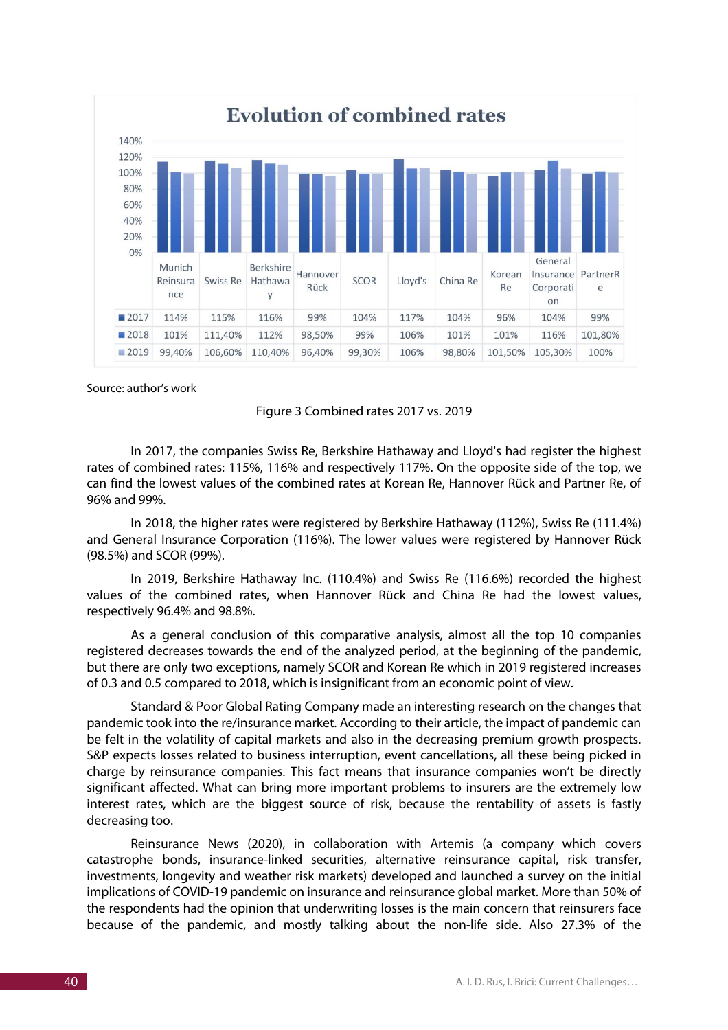

Source: author's work

Figure 3 Combined rates 2017 vs. 2019

In 2017, the companies Swiss Re, Berkshire Hathaway and Lloyd's had register the highest rates of combined rates: 115%, 116% and respectively 117%. On the opposite side of the top, we can find the lowest values of the combined rates at Korean Re, Hannover Rück and Partner Re, of 96% and 99%.

In 2018, the higher rates were registered by Berkshire Hathaway (112%), Swiss Re (111.4%) and General Insurance Corporation (116%). The lower values were registered by Hannover Rück (98.5%) and SCOR (99%).

In 2019, Berkshire Hathaway Inc. (110.4%) and Swiss Re (116.6%) recorded the highest values of the combined rates, when Hannover Rück and China Re had the lowest values, respectively 96.4% and 98.8%.

As a general conclusion of this comparative analysis, almost all the top 10 companies registered decreases towards the end of the analyzed period, at the beginning of the pandemic, but there are only two exceptions, namely SCOR and Korean Re which in 2019 registered increases of 0.3 and 0.5 compared to 2018, which is insignificant from an economic point of view.

Standard & Poor Global Rating Company made an interesting research on the changes that pandemic took into the re/insurance market. According to their article, the impact of pandemic can be felt in the volatility of capital markets and also in the decreasing premium growth prospects. S&P expects losses related to business interruption, event cancellations, all these being picked in charge by reinsurance companies. This fact means that insurance companies won't be directly significant affected. What can bring more important problems to insurers are the extremely low interest rates, which are the biggest source of risk, because the rentability of assets is fastly decreasing too.

Reinsurance News (2020), in collaboration with Artemis (a company which covers catastrophe bonds, insurance-linked securities, alternative reinsurance capital, risk transfer, investments, longevity and weather risk markets) developed and launched a survey on the initial implications of COVID-19 pandemic on insurance and reinsurance global market. More than 50% of the respondents had the opinion that underwriting losses is the main concern that reinsurers face because of the pandemic, and mostly talking about the non-life side. Also 27.3% of the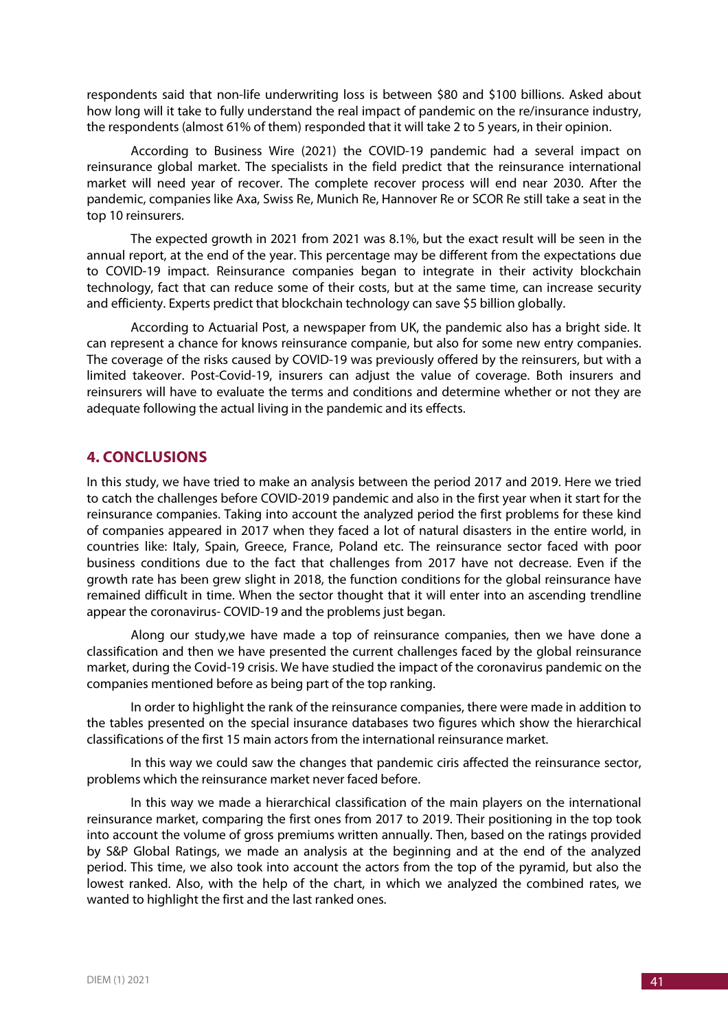respondents said that non-life underwriting loss is between \$80 and \$100 billions. Asked about how long will it take to fully understand the real impact of pandemic on the re/insurance industry, the respondents (almost 61% of them) responded that it will take 2 to 5 years, in their opinion.

According to Business Wire (2021) the COVID-19 pandemic had a several impact on reinsurance global market. The specialists in the field predict that the reinsurance international market will need year of recover. The complete recover process will end near 2030. After the pandemic, companies like Axa, Swiss Re, Munich Re, Hannover Re or SCOR Re still take a seat in the top 10 reinsurers.

The expected growth in 2021 from 2021 was 8.1%, but the exact result will be seen in the annual report, at the end of the year. This percentage may be different from the expectations due to COVID-19 impact. Reinsurance companies began to integrate in their activity blockchain technology, fact that can reduce some of their costs, but at the same time, can increase security and efficienty. Experts predict that blockchain technology can save \$5 billion globally.

According to Actuarial Post, a newspaper from UK, the pandemic also has a bright side. It can represent a chance for knows reinsurance companie, but also for some new entry companies. The coverage of the risks caused by COVID-19 was previously offered by the reinsurers, but with a limited takeover. Post-Covid-19, insurers can adjust the value of coverage. Both insurers and reinsurers will have to evaluate the terms and conditions and determine whether or not they are adequate following the actual living in the pandemic and its effects.

## **4. CONCLUSIONS**

In this study, we have tried to make an analysis between the period 2017 and 2019. Here we tried to catch the challenges before COVID-2019 pandemic and also in the first year when it start for the reinsurance companies. Taking into account the analyzed period the first problems for these kind of companies appeared in 2017 when they faced a lot of natural disasters in the entire world, in countries like: Italy, Spain, Greece, France, Poland etc. The reinsurance sector faced with poor business conditions due to the fact that challenges from 2017 have not decrease. Even if the growth rate has been grew slight in 2018, the function conditions for the global reinsurance have remained difficult in time. When the sector thought that it will enter into an ascending trendline appear the coronavirus- COVID-19 and the problems just began.

Along our study,we have made a top of reinsurance companies, then we have done a classification and then we have presented the current challenges faced by the global reinsurance market, during the Covid-19 crisis. We have studied the impact of the coronavirus pandemic on the companies mentioned before as being part of the top ranking.

In order to highlight the rank of the reinsurance companies, there were made in addition to the tables presented on the special insurance databases two figures which show the hierarchical classifications of the first 15 main actors from the international reinsurance market.

In this way we could saw the changes that pandemic ciris affected the reinsurance sector, problems which the reinsurance market never faced before.

In this way we made a hierarchical classification of the main players on the international reinsurance market, comparing the first ones from 2017 to 2019. Their positioning in the top took into account the volume of gross premiums written annually. Then, based on the ratings provided by S&P Global Ratings, we made an analysis at the beginning and at the end of the analyzed period. This time, we also took into account the actors from the top of the pyramid, but also the lowest ranked. Also, with the help of the chart, in which we analyzed the combined rates, we wanted to highlight the first and the last ranked ones.